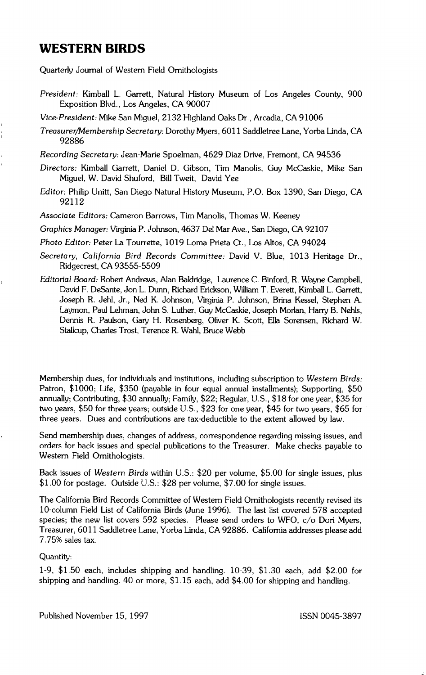## **WESTERN BIRDS**

í.

**Quarterly Journal of Western Field Ornithologists** 

- **President: Kimball L. Garrett, Natural History Museum of Los Angeles County, 900 Exposition Blvd., Los Angeles, CA 90007**
- **Vice-President: Mike San Miguel, 2132 Highland Oaks Dr., Arcadia, CA 91006**
- **Treasurer/Membership Secteta ry: Dorothy Myers, 6011 Saddletree Lane, Yorba Linda, CA 92886**

**Recording Secretary: Jean-Marie Spoelman, 4629 Diaz Drive, Fremont, CA 94536** 

- **Directors: Kimball Garrett, Daniel D. Gibson, Tim Manolis, Guy McCaskie, Mike San Miguel, W. David Shuford, Bill Tweit, David Yee**
- **Editor: Philip Unitt, San Diego Natural History Museum, P.O. Box 1390, San Diego, CA 92112**
- **Associate Editors: Cameron Barrows, Tim Manolis, Thomas W. Keeney**

**Graphics Manager: Virginia P. Johnson, 4637 Del Mar Ave., San Diego, CA 92107** 

**Photo Editor: Peter La Tourrette, 1019 Loma Prieta Ct., Los Altos, CA 94024** 

- **Secretary, California Bird Records Committee: David V. Blue, 1013 Heritage Dr., Ridgecrest, CA 93555-5509**
- **Editorial Board: Robert Andrews, Alan Baldridge, Laurence C. Binford, R. Wayne Campbell, David F. DeSante, Jon L. Dunn, Richard Erickson, William T. Everett, Kimball L. Garrett, Joseph R. Jehl, Jr., Ned K. Johnson, Virginia P. Johnson, Brina Kessel, Stephen A. Laymon, Paul Lehman, John S. Luther, Guy McCaskie, Joseph Morlan, Harry B. Nehls, Dennis R. Paulson, Gary H. Rosenberg, Oliver K. Scott, Ella Sorensen, Richard W. Stallcup, Charles Trost, Terence R. Wahl, Bruce Webb**

Membership dues, for individuals and institutions, including subscription to Western Birds: **Patron, \$1000; Life, \$350 (payable in four equal annual installments); Supporting, \$50 annually; Contributing, \$30 annually; Family, \$22; Regular, U.S., \$18 for one year, \$35 for two years, \$50 for three years; outside U.S., \$23 for one year, \$45 for two years, \$65 for three years. Dues and contributions are tax-deductible to the extent allowed by law.** 

**Send membership dues, changes of address, correspondence rgarding missing issues, and orders for back issues and special publications to the Treasurer. Make checks payable to Western Field Ornithologists.** 

**Back issues of Western Birds within U.S.: \$20 per volume, \$5.00 for single issues, plus \$1.00 for postage. Outside U.S.: \$28 per volume, \$7.00 for single issues.** 

**The California Bird Records Committee of Western Field Ornithologists recently revised its 10-column Field List of California Birds (June 1996). The last list covered 578 accepted species; the new list covers 592 species. Please send orders to WFO, c/o Dori Myers, Treasurer, 6011 Saddletree Lane, Yorba Linda, CA 92886. California addresses please add 7.75% sales tax.** 

## **Quantity:**

**1-9, \$1.50 each, includes shipping and handling. 10-39, \$1.30 each, add \$2.00 for shipping and handling. 40 or more, \$1.15 each, add \$4.00 for shipping and handling.** 

**Published November 15, 1997 ISSN 0045-3897**